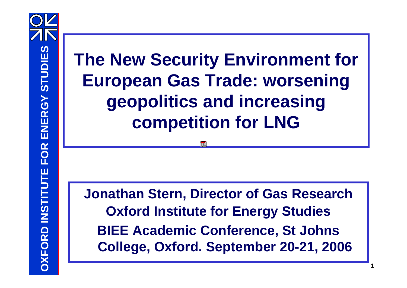# **The New Security Environment for European Gas Trade: worsening geopolitics and increasing competition for LNG**

**Jonathan Stern, Director of Gas Research Oxford Institute for Energy Studies BIEE Academic Conference, St Johns College, Oxford. September 20-21, 2006**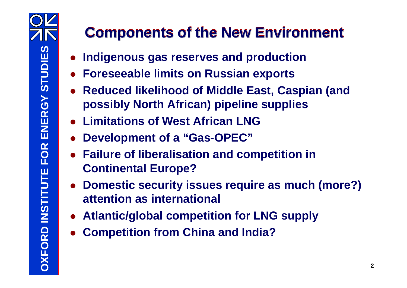### **Components of the New Environment**

- **Indigenous gas reserves and production**
- **Foreseeable limits on Russian exports**
- **Reduced likelihood of Middle East, Caspian (and possibly North African) pipeline supplies**
- **Limitations of West African LNG**
- **Development of a "Gas-OPEC"**
- **Failure of liberalisation and competition in Continental Europe?**
- **Domestic security issues require as much (more?) attention as international**
- **Atlantic/global competition for LNG supply**
- **Competition from China and India?**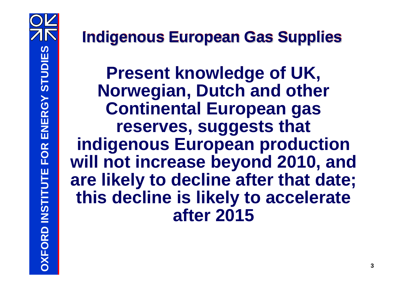# **Indigenous European Gas Supplies**

**Present knowledge of UK, Norwegian, Dutch and other Continental European gas reserves, suggests that indigenous European production will not increase beyond 2010, and are likely to decline after that date; this decline is likely to accelerate after 2015**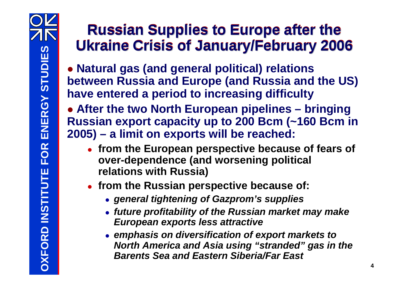### **Russian Supplies to Europe after the Ukraine Crisis of January/February 2006**

 **Natural gas (and general political) relations between Russia and Europe (and Russia and the US) have entered a period to increasing difficulty**

 **After the two North European pipelines – bringing Russian export capacity up to 200 Bcm (~160 Bcm in 2005) – a limit on exports will be reached:**

- **from the European perspective because of fears of over-dependence (and worsening political relations with Russia)**
- **from the Russian perspective because of:**
	- *general tightening of Gazprom's supplies*
	- *future profitability of the Russian market may make European exports less attractive*
	- *emphasis on diversification of export markets to North America and Asia using "stranded" gas in the Barents Sea and Eastern Siberia/Far East*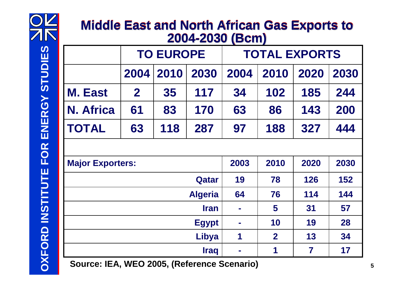

#### **Middle East and North African Gas Exports to 2004-2030 (Bcm) Middle East and North African Gas Exports to 2004-2030 (Bcm)**

| $\blacksquare$<br>$\sqrt{2}$ |                  |      |      |                      |                |      |      |
|------------------------------|------------------|------|------|----------------------|----------------|------|------|
|                              | <b>TO EUROPE</b> |      |      | <b>TOTAL EXPORTS</b> |                |      |      |
|                              | 2004             | 2010 | 2030 | 2004                 | 2010           | 2020 | 2030 |
| <b>M. East</b>               | $\mathbf{2}$     | 35   | 117  | 34                   | 102            | 185  | 244  |
| N. Africa                    | 61               | 83   | 170  | 63                   | 86             | 143  | 200  |
| <b>TOTAL</b>                 | 63               | 118  | 287  | 97                   | 188            | 327  | 444  |
|                              |                  |      |      |                      |                |      |      |
| <b>Major Exporters:</b>      |                  |      |      | 2003                 | 2010           | 2020 | 2030 |
| Qatar                        |                  |      |      | 19                   | 78             | 126  | 152  |
| <b>Algeria</b>               |                  |      |      | 64                   | 76             | 114  | 144  |
| <b>Iran</b>                  |                  |      |      |                      | 5              | 31   | 57   |
| <b>Egypt</b>                 |                  |      |      | ×                    | 10             | 19   | 28   |
| <b>Libya</b>                 |                  |      |      | 1                    | $\overline{2}$ | 13   | 34   |
| <b>Iraq</b>                  |                  |      |      | ш                    | 1              | 7    | 17   |

**6 Source: IEA, WEO 2005, (Reference Scenario)** 5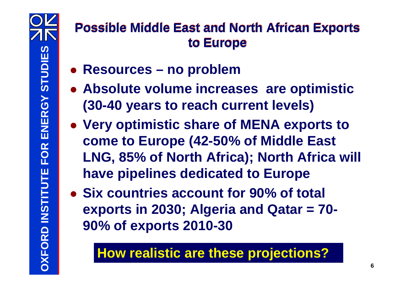### **Possible Middle East and North African Exports to Europe**

- **Resources – no problem**
- **Absolute volume increases are optimistic (30-40 years to reach current levels)**
- **Very optimistic share of MENA exports to come to Europe (42-50% of Middle East LNG, 85% of North Africa); North Africa will have pipelines dedicated to Europe**
- **Six countries account for 90% of total exports in 2030; Algeria and Qatar = 70- 90% of exports 2010-30**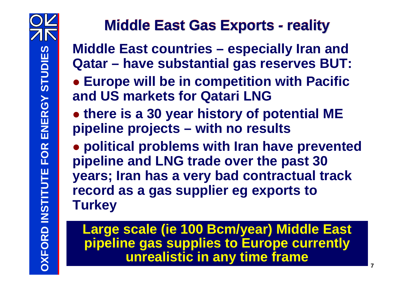# **Middle East Gas Exports - reality**

**Middle East countries – especially Iran and Qatar – have substantial gas reserves BUT:**

 **Europe will be in competition with Pacific and US markets for Qatari LNG**

 **there is a 30 year history of potential ME pipeline projects – with no results**

 **political problems with Iran have prevented pipeline and LNG trade over the past 30 years; Iran has a very bad contractual track record as a gas supplier eg exports to Turkey**

**<sup>7</sup> OLarge scale (ie 100 Bcm/year) Middle East pipeline gas supplies to Europe currently unrealistic in any time frame**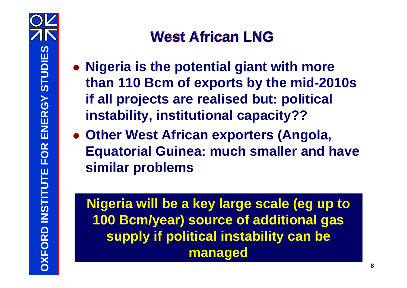# **West African LNG**

- **Nigeria is the potential giant with more than 110 Bcm of exports by the mid-2010s if all projects are realised but: political instability, institutional capacity??**
- **Other West African exporters (Angola, Equatorial Guinea: much smaller and have similar problems**

**Nigeria will be a key large scale (eg up to 100 Bcm/year) source of additional gas supply if political instability can be managed**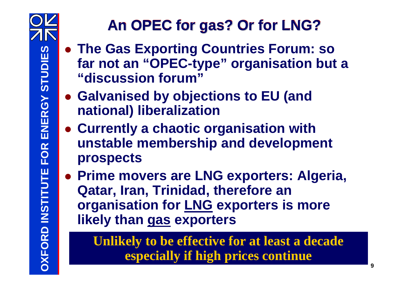

# **An OPEC for gas? Or for LNG?**

- **The Gas Exporting Countries Forum: so far not an "OPEC-type" organisation but a "discussion forum"**
- **Galvanised by objections to EU (and national) liberalization**
- **Currently a chaotic organisation with unstable membership and development prospects**
- **Prime movers are LNG exporters: Algeria, Qatar, Iran, Trinidad, therefore an organisation for LNG exporters is more likely than gas exporters**

**<sup>9</sup> OUnlikely to be effective for at least a decade especially if high prices continue**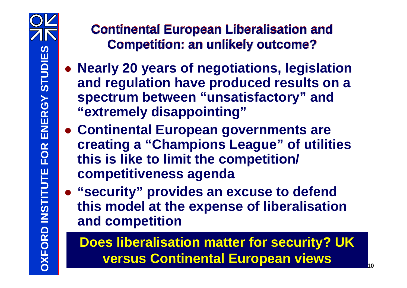### **Continental European Liberalisation and Competition: an unlikely outcome?**

- **Nearly 20 years of negotiations, legislation and regulation have produced results on a spectrum between "unsatisfactory" and "extremely disappointing"**
- **Continental European governments are creating a "Champions League" of utilities this is like to limit the competition/ competitiveness agenda**
- **"security" provides an excuse to defend this model at the expense of liberalisation and competition**

**<sup>10</sup> ODoes liberalisation matter for security? UK versus Continental European views**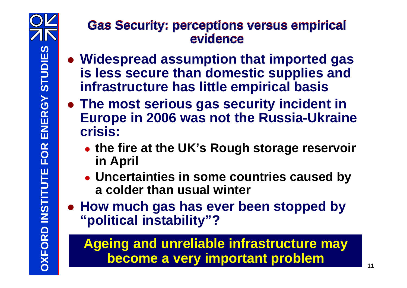#### **Gas Security: perceptions versus empirical evidence**

- **Widespread assumption that imported gas is less secure than domestic supplies and infrastructure has little empirical basis**
- **The most serious gas security incident in Europe in 2006 was not the Russia-Ukraine crisis:**
	- **the fire at the UK's Rough storage reservoir in April**
	- **Uncertainties in some countries caused by a colder than usual winter**
- **How much gas has ever been stopped by "political instability"?**

**<sup>11</sup> OAgeing and unreliable infrastructure may become a very important problem**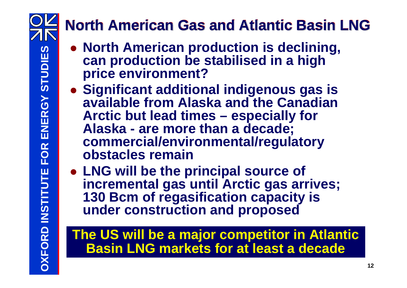# **North American Gas and Atlantic Basin LNG**

- **North American production is declining, can production be stabilised in a high price environment?**
- **Significant additional indigenous gas is available from Alaska and the Canadian Arctic but lead times – especially for Alaska - are more than a decade; commercial/environmental/regulatory obstacles remain**
- **LNG will be the principal source of incremental gas until Arctic gas arrives; 130 Bcm of regasification capacity is under construction and proposed**

### **The US will be a major competitor in Atlantic Basin LNG markets for at least a decade**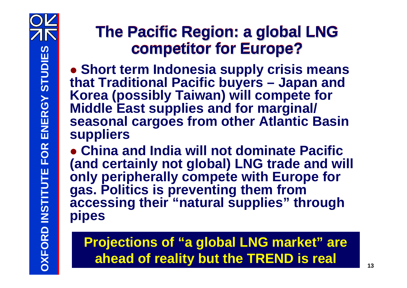# **The Pacific Region: a global LNG competitor for Europe?**

 **Short term Indonesia supply crisis means that Traditional Pacific buyers – Japan and Korea (possibly Taiwan) will compete for Middle East supplies and for marginal/ seasonal cargoes from other Atlantic Basin suppliers**

 **China and India will not dominate Pacific (and certainly not global) LNG trade and will only peripherally compete with Europe for gas. Politics is preventing them from accessing their "natural supplies" through pipes**

#### **<sup>13</sup> OProjections of "a global LNG market" are ahead of reality but the TREND is real**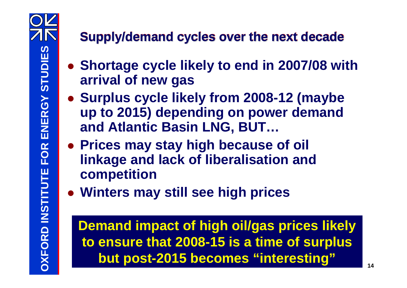### **Supply/demand cycles over the next decade**

- **Shortage cycle likely to end in 2007/08 with arrival of new gas**
- **Surplus cycle likely from 2008-12 (maybe up to 2015) depending on power demand and Atlantic Basin LNG, BUT…**
- **Prices may stay high because of oil linkage and lack of liberalisation and competition**
- **Winters may still see high prices**

**1 14 O D 14 O D 14 O 14 O 14 O 14 O 14 O 14 O 14 Demand impact of high oil/gas prices likely to ensure that 2008-15 is a time of surplus but post-2015 becomes "interesting"**